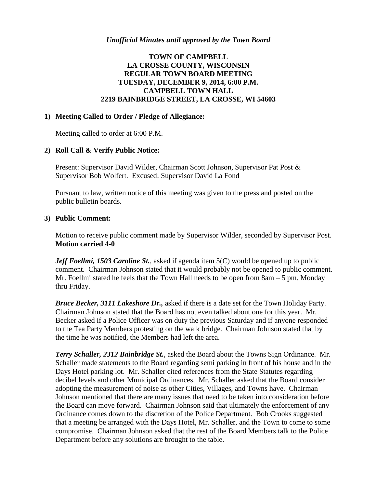### *Unofficial Minutes until approved by the Town Board*

## **TOWN OF CAMPBELL LA CROSSE COUNTY, WISCONSIN REGULAR TOWN BOARD MEETING TUESDAY, DECEMBER 9, 2014, 6:00 P.M. CAMPBELL TOWN HALL 2219 BAINBRIDGE STREET, LA CROSSE, WI 54603**

#### **1) Meeting Called to Order / Pledge of Allegiance:**

Meeting called to order at 6:00 P.M.

#### **2) Roll Call & Verify Public Notice:**

Present: Supervisor David Wilder, Chairman Scott Johnson, Supervisor Pat Post & Supervisor Bob Wolfert. Excused: Supervisor David La Fond

Pursuant to law, written notice of this meeting was given to the press and posted on the public bulletin boards.

#### **3) Public Comment:**

Motion to receive public comment made by Supervisor Wilder, seconded by Supervisor Post. **Motion carried 4-0**

*Jeff Foellmi, 1503 Caroline St.*, asked if agenda item 5(C) would be opened up to public comment. Chairman Johnson stated that it would probably not be opened to public comment. Mr. Foellmi stated he feels that the Town Hall needs to be open from 8am – 5 pm. Monday thru Friday.

*Bruce Becker, 3111 Lakeshore Dr.,* asked if there is a date set for the Town Holiday Party. Chairman Johnson stated that the Board has not even talked about one for this year. Mr. Becker asked if a Police Officer was on duty the previous Saturday and if anyone responded to the Tea Party Members protesting on the walk bridge. Chairman Johnson stated that by the time he was notified, the Members had left the area.

*Terry Schaller, 2312 Bainbridge St.*, asked the Board about the Towns Sign Ordinance. Mr. Schaller made statements to the Board regarding semi parking in front of his house and in the Days Hotel parking lot. Mr. Schaller cited references from the State Statutes regarding decibel levels and other Municipal Ordinances. Mr. Schaller asked that the Board consider adopting the measurement of noise as other Cities, Villages, and Towns have. Chairman Johnson mentioned that there are many issues that need to be taken into consideration before the Board can move forward. Chairman Johnson said that ultimately the enforcement of any Ordinance comes down to the discretion of the Police Department. Bob Crooks suggested that a meeting be arranged with the Days Hotel, Mr. Schaller, and the Town to come to some compromise. Chairman Johnson asked that the rest of the Board Members talk to the Police Department before any solutions are brought to the table.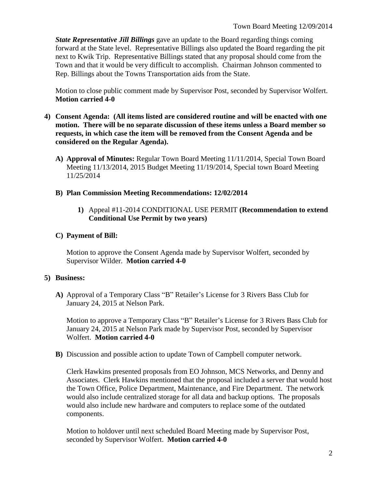*State Representative Jill Billings* gave an update to the Board regarding things coming forward at the State level. Representative Billings also updated the Board regarding the pit next to Kwik Trip. Representative Billings stated that any proposal should come from the Town and that it would be very difficult to accomplish. Chairman Johnson commented to Rep. Billings about the Towns Transportation aids from the State.

Motion to close public comment made by Supervisor Post, seconded by Supervisor Wolfert. **Motion carried 4-0**

- **4) Consent Agenda: (All items listed are considered routine and will be enacted with one motion. There will be no separate discussion of these items unless a Board member so requests, in which case the item will be removed from the Consent Agenda and be considered on the Regular Agenda).**
	- **A) Approval of Minutes:** Regular Town Board Meeting 11/11/2014, Special Town Board Meeting 11/13/2014, 2015 Budget Meeting 11/19/2014, Special town Board Meeting 11/25/2014

## **B) Plan Commission Meeting Recommendations: 12/02/2014**

**1)** Appeal #11-2014 CONDITIONAL USE PERMIT **(Recommendation to extend Conditional Use Permit by two years)**

# **C) Payment of Bill:**

Motion to approve the Consent Agenda made by Supervisor Wolfert, seconded by Supervisor Wilder. **Motion carried 4-0**

# **5) Business:**

**A)** Approval of a Temporary Class "B" Retailer's License for 3 Rivers Bass Club for January 24, 2015 at Nelson Park.

Motion to approve a Temporary Class "B" Retailer's License for 3 Rivers Bass Club for January 24, 2015 at Nelson Park made by Supervisor Post, seconded by Supervisor Wolfert. **Motion carried 4-0**

**B)** Discussion and possible action to update Town of Campbell computer network.

Clerk Hawkins presented proposals from EO Johnson, MCS Networks, and Denny and Associates. Clerk Hawkins mentioned that the proposal included a server that would host the Town Office, Police Department, Maintenance, and Fire Department. The network would also include centralized storage for all data and backup options. The proposals would also include new hardware and computers to replace some of the outdated components.

Motion to holdover until next scheduled Board Meeting made by Supervisor Post, seconded by Supervisor Wolfert. **Motion carried 4-0**